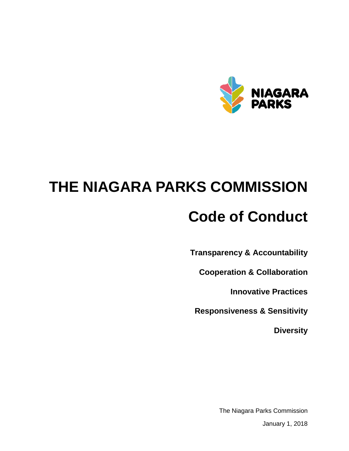

# **THE NIAGARA PARKS COMMISSION**

# **Code of Conduct**

**Transparency & Accountability**

**Cooperation & Collaboration**

**Innovative Practices**

**Responsiveness & Sensitivity**

**Diversity**

The Niagara Parks Commission

January 1, 2018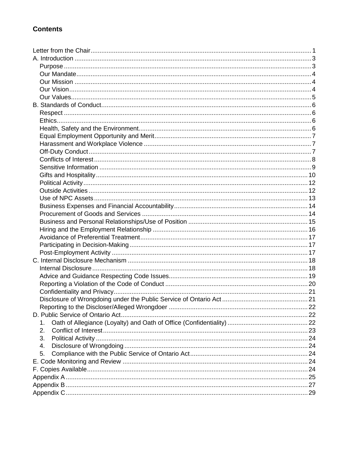#### **Contents**

| 1. |  |
|----|--|
| 2. |  |
| 3. |  |
| 4. |  |
| 5. |  |
|    |  |
|    |  |
|    |  |
|    |  |
|    |  |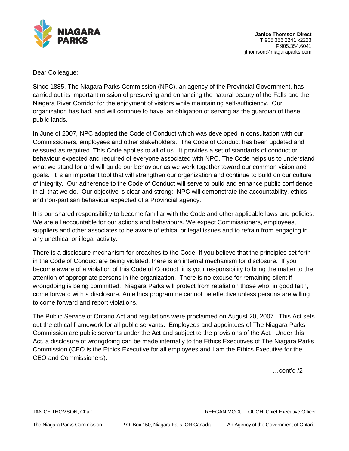

Dear Colleague:

Since 1885, The Niagara Parks Commission (NPC), an agency of the Provincial Government, has carried out its important mission of preserving and enhancing the natural beauty of the Falls and the Niagara River Corridor for the enjoyment of visitors while maintaining self-sufficiency. Our organization has had, and will continue to have, an obligation of serving as the guardian of these public lands.

In June of 2007, NPC adopted the Code of Conduct which was developed in consultation with our Commissioners, employees and other stakeholders. The Code of Conduct has been updated and reissued as required. This Code applies to all of us. It provides a set of standards of conduct or behaviour expected and required of everyone associated with NPC. The Code helps us to understand what we stand for and will guide our behaviour as we work together toward our common vision and goals. It is an important tool that will strengthen our organization and continue to build on our culture of integrity. Our adherence to the Code of Conduct will serve to build and enhance public confidence in all that we do. Our objective is clear and strong: NPC will demonstrate the accountability, ethics and non-partisan behaviour expected of a Provincial agency.

It is our shared responsibility to become familiar with the Code and other applicable laws and policies. We are all accountable for our actions and behaviours. We expect Commissioners, employees, suppliers and other associates to be aware of ethical or legal issues and to refrain from engaging in any unethical or illegal activity.

There is a disclosure mechanism for breaches to the Code. If you believe that the principles set forth in the Code of Conduct are being violated, there is an internal mechanism for disclosure. If you become aware of a violation of this Code of Conduct, it is your responsibility to bring the matter to the attention of appropriate persons in the organization. There is no excuse for remaining silent if wrongdoing is being committed. Niagara Parks will protect from retaliation those who, in good faith, come forward with a disclosure. An ethics programme cannot be effective unless persons are willing to come forward and report violations.

The Public Service of Ontario Act and regulations were proclaimed on August 20, 2007. This Act sets out the ethical framework for all public servants. Employees and appointees of The Niagara Parks Commission are public servants under the Act and subject to the provisions of the Act. Under this Act, a disclosure of wrongdoing can be made internally to the Ethics Executives of The Niagara Parks Commission (CEO is the Ethics Executive for all employees and I am the Ethics Executive for the CEO and Commissioners).

…cont'd /2

JANICE THOMSON, Chair REEGAN MCCULLOUGH, Chief Executive Officer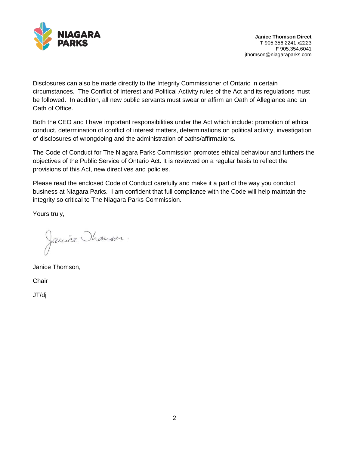

Disclosures can also be made directly to the Integrity Commissioner of Ontario in certain circumstances. The Conflict of Interest and Political Activity rules of the Act and its regulations must be followed. In addition, all new public servants must swear or affirm an Oath of Allegiance and an Oath of Office.

Both the CEO and I have important responsibilities under the Act which include: promotion of ethical conduct, determination of conflict of interest matters, determinations on political activity, investigation of disclosures of wrongdoing and the administration of oaths/affirmations.

The Code of Conduct for The Niagara Parks Commission promotes ethical behaviour and furthers the objectives of the Public Service of Ontario Act. It is reviewed on a regular basis to reflect the provisions of this Act, new directives and policies.

Please read the enclosed Code of Conduct carefully and make it a part of the way you conduct business at Niagara Parks. I am confident that full compliance with the Code will help maintain the integrity so critical to The Niagara Parks Commission.

Yours truly,

Janice Thomson.

Janice Thomson,

**Chair** 

JT/dj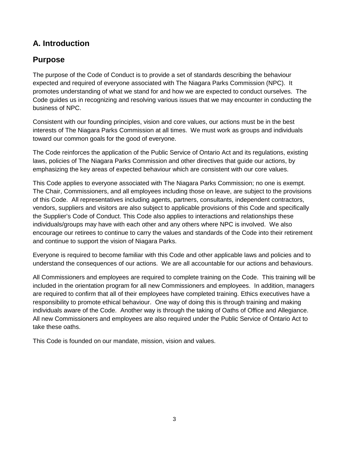#### <span id="page-4-0"></span>**A. Introduction**

#### <span id="page-4-1"></span>**Purpose**

The purpose of the Code of Conduct is to provide a set of standards describing the behaviour expected and required of everyone associated with The Niagara Parks Commission (NPC). It promotes understanding of what we stand for and how we are expected to conduct ourselves. The Code guides us in recognizing and resolving various issues that we may encounter in conducting the business of NPC.

Consistent with our founding principles, vision and core values, our actions must be in the best interests of The Niagara Parks Commission at all times. We must work as groups and individuals toward our common goals for the good of everyone.

The Code reinforces the application of the Public Service of Ontario Act and its regulations, existing laws, policies of The Niagara Parks Commission and other directives that guide our actions, by emphasizing the key areas of expected behaviour which are consistent with our core values.

This Code applies to everyone associated with The Niagara Parks Commission; no one is exempt. The Chair, Commissioners, and all employees including those on leave, are subject to the provisions of this Code. All representatives including agents, partners, consultants, independent contractors, vendors, suppliers and visitors are also subject to applicable provisions of this Code and specifically the Supplier's Code of Conduct. This Code also applies to interactions and relationships these individuals/groups may have with each other and any others where NPC is involved. We also encourage our retirees to continue to carry the values and standards of the Code into their retirement and continue to support the vision of Niagara Parks.

Everyone is required to become familiar with this Code and other applicable laws and policies and to understand the consequences of our actions. We are all accountable for our actions and behaviours.

All Commissioners and employees are required to complete training on the Code. This training will be included in the orientation program for all new Commissioners and employees. In addition, managers are required to confirm that all of their employees have completed training. Ethics executives have a responsibility to promote ethical behaviour. One way of doing this is through training and making individuals aware of the Code. Another way is through the taking of Oaths of Office and Allegiance. All new Commissioners and employees are also required under the Public Service of Ontario Act to take these oaths.

This Code is founded on our mandate, mission, vision and values.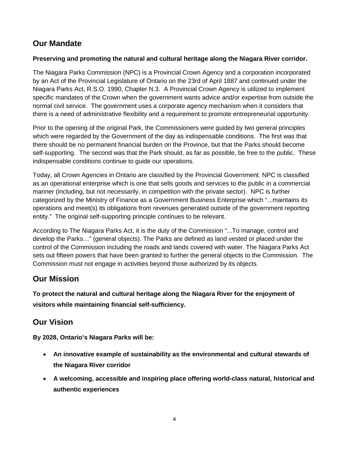#### <span id="page-5-0"></span>**Our Mandate**

#### **Preserving and promoting the natural and cultural heritage along the Niagara River corridor.**

The Niagara Parks Commission (NPC) is a Provincial Crown Agency and a corporation incorporated by an Act of the Provincial Legislature of Ontario on the 23rd of April 1887 and continued under the Niagara Parks Act, R.S.O. 1990, Chapter N.3. A Provincial Crown Agency is utilized to implement specific mandates of the Crown when the government wants advice and/or expertise from outside the normal civil service. The government uses a corporate agency mechanism when it considers that there is a need of administrative flexibility and a requirement to promote entrepreneurial opportunity.

Prior to the opening of the original Park, the Commissioners were guided by two general principles which were regarded by the Government of the day as indispensable conditions. The first was that there should be no permanent financial burden on the Province, but that the Parks should become self-supporting. The second was that the Park should, as far as possible, be free to the public. These indispensable conditions continue to guide our operations.

Today, all Crown Agencies in Ontario are classified by the Provincial Government. NPC is classified as an operational enterprise which is one that sells goods and services to the public in a commercial manner (including, but not necessarily, in competition with the private sector). NPC is further categorized by the Ministry of Finance as a Government Business Enterprise which "...maintains its operations and meet(s) its obligations from revenues generated outside of the government reporting entity." The original self-supporting principle continues to be relevant.

According to The Niagara Parks Act, it is the duty of the Commission "...To manage, control and develop the Parks…" (general objects). The Parks are defined as land vested or placed under the control of the Commission including the roads and lands covered with water. The Niagara Parks Act sets out fifteen powers that have been granted to further the general objects to the Commission. The Commission must not engage in activities beyond those authorized by its objects.

#### <span id="page-5-1"></span>**Our Mission**

**To protect the natural and cultural heritage along the Niagara River for the enjoyment of visitors while maintaining financial self-sufficiency.**

#### <span id="page-5-2"></span>**Our Vision**

**By 2028, Ontario's Niagara Parks will be:**

- **An innovative example of sustainability as the environmental and cultural stewards of the Niagara River corridor**
- **A welcoming, accessible and inspiring place offering world-class natural, historical and authentic experiences**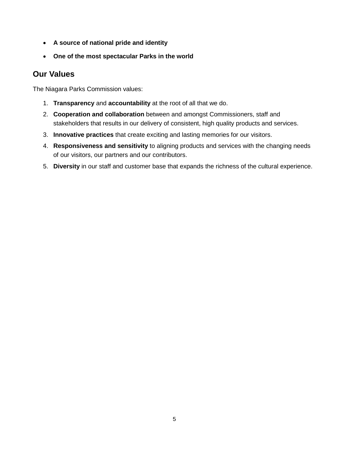- **A source of national pride and identity**
- **One of the most spectacular Parks in the world**

#### <span id="page-6-0"></span>**Our Values**

The Niagara Parks Commission values:

- 1. **Transparency** and **accountability** at the root of all that we do.
- 2. **Cooperation and collaboration** between and amongst Commissioners, staff and stakeholders that results in our delivery of consistent, high quality products and services.
- 3. **Innovative practices** that create exciting and lasting memories for our visitors.
- 4. **Responsiveness and sensitivity** to aligning products and services with the changing needs of our visitors, our partners and our contributors.
- 5. **Diversity** in our staff and customer base that expands the richness of the cultural experience.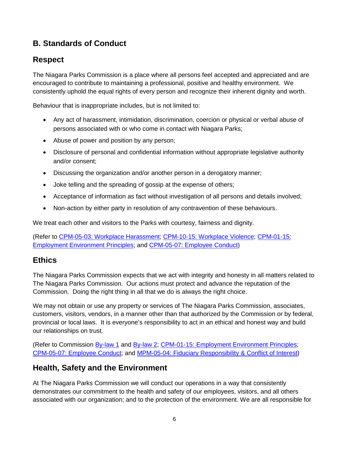#### <span id="page-7-0"></span>**B. Standards of Conduct**

#### <span id="page-7-1"></span>**Respect**

The Niagara Parks Commission is a place where all persons feel accepted and appreciated and are encouraged to contribute to maintaining a professional, positive and healthy environment. We consistently uphold the equal rights of every person and recognize their inherent dignity and worth.

Behaviour that is inappropriate includes, but is not limited to:

- Any act of harassment, intimidation, discrimination, coercion or physical or verbal abuse of persons associated with or who come in contact with Niagara Parks;
- Abuse of power and position by any person;
- Disclosure of personal and confidential information without appropriate legislative authority and/or consent;
- Discussing the organization and/or another person in a derogatory manner;
- Joke telling and the spreading of gossip at the expense of others;
- Acceptance of information as fact without investigation of all persons and details involved;
- Non-action by either party in resolution of any contravention of these behaviours.

We treat each other and visitors to the Parks with courtesy, fairness and dignity.

(Refer to [CPM-05-03: Workplace Harassment;](file://niagaraparks.nf/parks/files/CORPORATE%20SERVICES/PUBLIC/NPC%20POLICIES/ON%20LINE%20POLICIES/CPM/CPM-05%20HUMAN%20RESOURCES/CPM-05-03%20Workplace%20Harassment%20and%20Sexual%20Harassment.pdf) [CPM-10-15: Workplace Violence;](file://niagaraparks.nf/parks/files/CORPORATE%20SERVICES/PUBLIC/NPC%20POLICIES/ON%20LINE%20POLICIES/CPM/CPM-10%20HEALTH,%20SAFETY%20&%20ENVIRONMENT/CPM-10-15%20Workplace%20Violence%20and%20Sexual%20Violence.pdf) [CPM-01-15:](file://niagaraparks.nf/parks/files/CORPORATE%20SERVICES/PUBLIC/NPC%20POLICIES/ON%20LINE%20POLICIES/CPM/CPM-01%20COMMISSION/CPM-01-15%20Employment%20Environment%20Principles.pdf)  [Employment Environment Principles;](file://niagaraparks.nf/parks/files/CORPORATE%20SERVICES/PUBLIC/NPC%20POLICIES/ON%20LINE%20POLICIES/CPM/CPM-01%20COMMISSION/CPM-01-15%20Employment%20Environment%20Principles.pdf) and [CPM-05-07: Employee Conduct\)](file://niagaraparks.nf/parks/files/CORPORATE%20SERVICES/PUBLIC/NPC%20POLICIES/ON%20LINE%20POLICIES/CPM/CPM-05%20HUMAN%20RESOURCES/CPM-05-07%20Employee%20Conduct.pdf)

#### <span id="page-7-2"></span>**Ethics**

The Niagara Parks Commission expects that we act with integrity and honesty in all matters related to The Niagara Parks Commission. Our actions must protect and advance the reputation of the Commission. Doing the right thing in all that we do is always the right choice.

We may not obtain or use any property or services of The Niagara Parks Commission, associates, customers, visitors, vendors, in a manner other than that authorized by the Commission or by federal, provincial or local laws. It is everyone's responsibility to act in an ethical and honest way and build our relationships on trust.

(Refer to Commission [By-law 1](file://niagaraparks.nf/parks/files/CORPORATE%20SERVICES/PUBLIC/NPC%20POLICIES/ON%20LINE%20POLICIES/BY-LAWS/BY-LAW%20NO.%201/BY-LAW%20NO.%201.pdf) and [By-law 2;](file://niagaraparks.nf/parks/files/CORPORATE%20SERVICES/PUBLIC/NPC%20POLICIES/ON%20LINE%20POLICIES/BY-LAWS/BY-LAW%20NO.%202/BY-LAW%20NO.%202.%20FIDUCIARY%20RESPONSIBILITY%20&%20CONFLICT%20OF%20INTEREST.pdf) [CPM-01-15: Employment Environment Principles;](file://niagaraparks.nf/parks/files/CORPORATE%20SERVICES/PUBLIC/NPC%20POLICIES/ON%20LINE%20POLICIES/CPM/CPM-01%20COMMISSION/CPM-01-15%20Employment%20Environment%20Principles.pdf) [CPM-05-07: Employee Conduct;](file://niagaraparks.nf/parks/files/CORPORATE%20SERVICES/PUBLIC/NPC%20POLICIES/ON%20LINE%20POLICIES/CPM/CPM-05%20HUMAN%20RESOURCES/CPM-05-07%20Employee%20Conduct.pdf) and [MPM-05-04: Fiduciary Responsibility & Conflict of Interest\)](file://niagaraparks.nf/parks/files/CORPORATE%20SERVICES/PUBLIC/NPC%20POLICIES/ON%20LINE%20POLICIES/MPM/MPM-05%20Human%20Resources/MPM-05-04%20Fiduciary%20Responsibility%20&%20Conflict%20of%20Interest.pdf)

#### <span id="page-7-3"></span>**Health, Safety and the Environment**

At The Niagara Parks Commission we will conduct our operations in a way that consistently demonstrates our commitment to the health and safety of our employees, visitors, and all others associated with our organization; and to the protection of the environment. We are all responsible for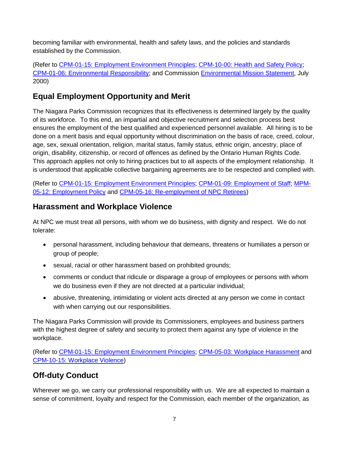becoming familiar with environmental, health and safety laws, and the policies and standards established by the Commission.

(Refer to [CPM-01-15: Employment Environment Principles;](file://niagaraparks.nf/parks/files/corporate%20services/public/npc%20policies/on%20line%20policies/cpm/cpm-01%20commission/CPM-01-15%20Employment%20Environment%20Principles.pdf) [CPM-10-00: Health and Safety Policy;](file://niagaraparks.nf/parks/files/CORPORATE%20SERVICES/PUBLIC/NPC%20POLICIES/ON%20LINE%20POLICIES/CPM/CPM-10%20HEALTH,%20SAFETY%20&%20ENVIRONMENT/CPM-10-00%20Health%20and%20Safety%20Policy.pdf) [CPM-01-06: Environmental Responsibility;](file://niagaraparks.nf/parks/files/CORPORATE%20SERVICES/PUBLIC/NPC%20POLICIES/ON%20LINE%20POLICIES/CPM/CPM-01%20COMMISSION/CPM-01-06%20Environmental%20Responsibility.pdf) and Commission [Environmental Mission Statement,](file://niagaraparks.nf/parks/files/CORPORATE%20SERVICES/PUBLIC/NPC%20POLICIES/ON%20LINE%20POLICIES/CPM/CPM-01%20COMMISSION/Environmental%20Mission%20Statement.pdf) July 2000)

#### <span id="page-8-0"></span>**Equal Employment Opportunity and Merit**

The Niagara Parks Commission recognizes that its effectiveness is determined largely by the quality of its workforce. To this end, an impartial and objective recruitment and selection process best ensures the employment of the best qualified and experienced personnel available. All hiring is to be done on a merit basis and equal opportunity without discrimination on the basis of race, creed, colour, age, sex, sexual orientation, religion, marital status, family status, ethnic origin, ancestry, place of origin, disability, citizenship, or record of offences as defined by the Ontario Human Rights Code. This approach applies not only to hiring practices but to all aspects of the employment relationship. It is understood that applicable collective bargaining agreements are to be respected and complied with.

(Refer to [CPM-01-15: Employment Environment Principles;](file://niagaraparks.nf/parks/files/CORPORATE%20SERVICES/PUBLIC/NPC%20POLICIES/ON%20LINE%20POLICIES/CPM/CPM-01%20COMMISSION/CPM-01-15%20Employment%20Environment%20Principles.pdf) [CPM-01-09: Employment of Staff;](file://niagaraparks.nf/parks/files/CORPORATE%20SERVICES/PUBLIC/NPC%20POLICIES/ON%20LINE%20POLICIES/CPM/CPM-01%20COMMISSION/CPM-01-09%20Employment%20of%20Staff.pdf) [MPM-](file://niagaraparks.nf/parks/files/CORPORATE%20SERVICES/PUBLIC/NPC%20POLICIES/ON%20LINE%20POLICIES/MPM/MPM-05%20Human%20Resources/MPM-05-12%20Employment%20Policy.pdf)[05-12: Employment](file://niagaraparks.nf/parks/files/CORPORATE%20SERVICES/PUBLIC/NPC%20POLICIES/ON%20LINE%20POLICIES/MPM/MPM-05%20Human%20Resources/MPM-05-12%20Employment%20Policy.pdf) Policy and [CPM-05-16: Re-employment of NPC Retirees\)](file://niagaraparks.nf/parks/files/CORPORATE%20SERVICES/PUBLIC/NPC%20POLICIES/ON%20LINE%20POLICIES/CPM/CPM-05%20HUMAN%20RESOURCES/CPM-05-16%20Re-Employment%20of%20NPC%20Retirees.pdf)

#### <span id="page-8-1"></span>**Harassment and Workplace Violence**

At NPC we must treat all persons, with whom we do business, with dignity and respect. We do not tolerate:

- personal harassment, including behaviour that demeans, threatens or humiliates a person or group of people;
- sexual, racial or other harassment based on prohibited grounds;
- comments or conduct that ridicule or disparage a group of employees or persons with whom we do business even if they are not directed at a particular individual;
- abusive, threatening, intimidating or violent acts directed at any person we come in contact with when carrying out our responsibilities.

The Niagara Parks Commission will provide its Commissioners, employees and business partners with the highest degree of safety and security to protect them against any type of violence in the workplace.

(Refer to [CPM-01-15: Employment Environment Principles;](file://niagaraparks.nf/parks/files/CORPORATE%20SERVICES/PUBLIC/NPC%20POLICIES/ON%20LINE%20POLICIES/CPM/CPM-01%20COMMISSION/CPM-01-15%20Employment%20Environment%20Principles.pdf) [CPM-05-03: Workplace Harassment](file://niagaraparks.nf/parks/files/CORPORATE%20SERVICES/PUBLIC/NPC%20POLICIES/ON%20LINE%20POLICIES/CPM/CPM-05%20HUMAN%20RESOURCES/CPM-05-03%20Workplace%20Harassment%20and%20Sexual%20Harassment.pdf) and [CPM-10-15: Workplace Violence\)](file://niagaraparks.nf/parks/files/CORPORATE%20SERVICES/PUBLIC/NPC%20POLICIES/ON%20LINE%20POLICIES/CPM/CPM-10%20HEALTH,%20SAFETY%20&%20ENVIRONMENT/CPM-10-15%20Workplace%20Violence%20and%20Sexual%20Violence.pdf)

#### <span id="page-8-2"></span>**Off-duty Conduct**

Wherever we go, we carry our professional responsibility with us. We are all expected to maintain a sense of commitment, loyalty and respect for the Commission, each member of the organization, as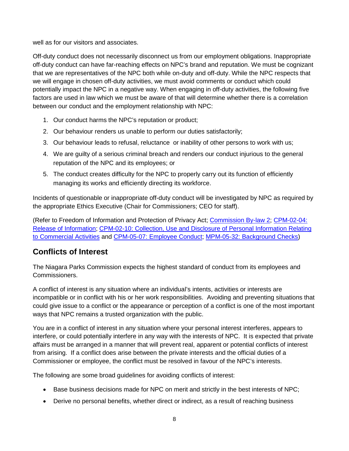well as for our visitors and associates.

Off-duty conduct does not necessarily disconnect us from our employment obligations. Inappropriate off-duty conduct can have far-reaching effects on NPC's brand and reputation. We must be cognizant that we are representatives of the NPC both while on-duty and off-duty. While the NPC respects that we will engage in chosen off-duty activities, we must avoid comments or conduct which could potentially impact the NPC in a negative way. When engaging in off-duty activities, the following five factors are used in law which we must be aware of that will determine whether there is a correlation between our conduct and the employment relationship with NPC:

- 1. Our conduct harms the NPC's reputation or product;
- 2. Our behaviour renders us unable to perform our duties satisfactorily;
- 3. Our behaviour leads to refusal, reluctance or inability of other persons to work with us;
- 4. We are guilty of a serious criminal breach and renders our conduct injurious to the general reputation of the NPC and its employees; or
- 5. The conduct creates difficulty for the NPC to properly carry out its function of efficiently managing its works and efficiently directing its workforce.

Incidents of questionable or inappropriate off-duty conduct will be investigated by NPC as required by the appropriate Ethics Executive (Chair for Commissioners; CEO for staff).

(Refer to Freedom of Information and Protection of Privacy Act; [Commission By-law 2;](file://niagaraparks.nf/parks/files/CORPORATE%20SERVICES/PUBLIC/NPC%20POLICIES/ON%20LINE%20POLICIES/BY-LAWS/BY-LAW%20NO.%202/BY-LAW%20NO.%202.%20FIDUCIARY%20RESPONSIBILITY%20&%20CONFLICT%20OF%20INTEREST.pdf) [CPM-02-04:](file://niagaraparks.nf/parks/files/CORPORATE%20SERVICES/PUBLIC/NPC%20POLICIES/ON%20LINE%20POLICIES/CPM/CPM-02%20ADMINISTRATION/CPM-02-04%20Release%20of%20Information.pdf)  [Release of Information;](file://niagaraparks.nf/parks/files/CORPORATE%20SERVICES/PUBLIC/NPC%20POLICIES/ON%20LINE%20POLICIES/CPM/CPM-02%20ADMINISTRATION/CPM-02-04%20Release%20of%20Information.pdf) [CPM-02-10: Collection, Use and Disclosure of Personal Information Relating](file://niagaraparks.nf/parks/files/CORPORATE%20SERVICES/PUBLIC/NPC%20POLICIES/ON%20LINE%20POLICIES/CPM/CPM-02%20ADMINISTRATION/CPM-02-10%20Collection%20Use%20and%20Disclosure%20of%20Personal%20Information%20Relating%20to%20Commercial%20Activities.pdf)  [to Commercial Activities](file://niagaraparks.nf/parks/files/CORPORATE%20SERVICES/PUBLIC/NPC%20POLICIES/ON%20LINE%20POLICIES/CPM/CPM-02%20ADMINISTRATION/CPM-02-10%20Collection%20Use%20and%20Disclosure%20of%20Personal%20Information%20Relating%20to%20Commercial%20Activities.pdf) and [CPM-05-07: Employee Conduct;](file://niagaraparks.nf/parks/files/CORPORATE%20SERVICES/PUBLIC/NPC%20POLICIES/ON%20LINE%20POLICIES/CPM/CPM-05%20HUMAN%20RESOURCES/CPM-05-07%20Employee%20Conduct.pdf) [MPM-05-32: Background Checks\)](file://niagaraparks.nf/parks/files/CORPORATE%20SERVICES/PUBLIC/NPC%20POLICIES/ON%20LINE%20POLICIES/MPM/MPM-05%20Human%20Resources/MPM-05-32%20Background%20Checks%20.pdf)

#### <span id="page-9-0"></span>**Conflicts of Interest**

The Niagara Parks Commission expects the highest standard of conduct from its employees and Commissioners.

A conflict of interest is any situation where an individual's intents, activities or interests are incompatible or in conflict with his or her work responsibilities. Avoiding and preventing situations that could give issue to a conflict or the appearance or perception of a conflict is one of the most important ways that NPC remains a trusted organization with the public.

You are in a conflict of interest in any situation where your personal interest interferes, appears to interfere, or could potentially interfere in any way with the interests of NPC. It is expected that private affairs must be arranged in a manner that will prevent real, apparent or potential conflicts of interest from arising. If a conflict does arise between the private interests and the official duties of a Commissioner or employee, the conflict must be resolved in favour of the NPC's interests.

The following are some broad guidelines for avoiding conflicts of interest:

- Base business decisions made for NPC on merit and strictly in the best interests of NPC;
- Derive no personal benefits, whether direct or indirect, as a result of reaching business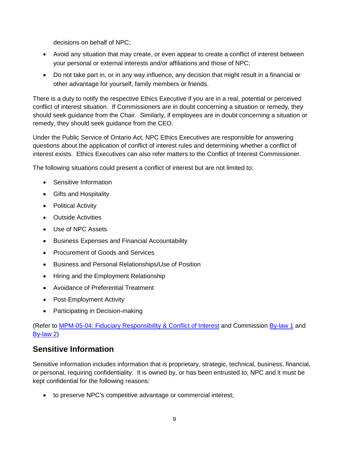decisions on behalf of NPC;

- Avoid any situation that may create, or even appear to create a conflict of interest between your personal or external interests and/or affiliations and those of NPC;
- Do not take part in, or in any way influence, any decision that might result in a financial or other advantage for yourself, family members or friends.

There is a duty to notify the respective Ethics Executive if you are in a real, potential or perceived conflict of interest situation. If Commissioners are in doubt concerning a situation or remedy, they should seek guidance from the Chair. Similarly, if employees are in doubt concerning a situation or remedy, they should seek guidance from the CEO.

Under the Public Service of Ontario Act, NPC Ethics Executives are responsible for answering questions about the application of conflict of interest rules and determining whether a conflict of interest exists. Ethics Executives can also refer matters to the Conflict of Interest Commissioner.

The following situations could present a conflict of interest but are not limited to:

- Sensitive Information
- Gifts and Hospitality
- Political Activity
- Outside Activities
- Use of NPC Assets
- Business Expenses and Financial Accountability
- Procurement of Goods and Services
- Business and Personal Relationships/Use of Position
- Hiring and the Employment Relationship
- Avoidance of Preferential Treatment
- Post-Employment Activity
- Participating in Decision-making

(Refer to [MPM-05-04: Fiduciary Responsibility & Conflict of Interest](file://niagaraparks.nf/parks/files/CORPORATE%20SERVICES/PUBLIC/NPC%20POLICIES/ON%20LINE%20POLICIES/MPM/MPM-05%20Human%20Resources/MPM-05-04%20Fiduciary%20Responsibility%20&%20Conflict%20of%20Interest.pdf) and Commission [By-law 1](file://niagaraparks.nf/parks/files/CORPORATE%20SERVICES/PUBLIC/NPC%20POLICIES/ON%20LINE%20POLICIES/BY-LAWS/BY-LAW%20NO.%201/BY-LAW%20NO.%201.pdf) and [By-law](file://niagaraparks.nf/parks/files/CORPORATE%20SERVICES/PUBLIC/NPC%20POLICIES/ON%20LINE%20POLICIES/BY-LAWS/BY-LAW%20NO.%202/BY-LAW%20NO.%202.%20FIDUCIARY%20RESPONSIBILITY%20&%20CONFLICT%20OF%20INTEREST.pdf) 2)

#### <span id="page-10-0"></span>**Sensitive Information**

Sensitive information includes information that is proprietary, strategic, technical, business, financial, or personal, requiring confidentiality. It is owned by, or has been entrusted to, NPC and it must be kept confidential for the following reasons:

• to preserve NPC's competitive advantage or commercial interest;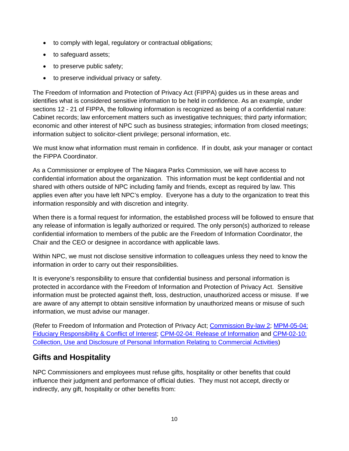- to comply with legal, regulatory or contractual obligations;
- to safeguard assets;
- to preserve public safety;
- to preserve individual privacy or safety.

The Freedom of Information and Protection of Privacy Act (FIPPA) guides us in these areas and identifies what is considered sensitive information to be held in confidence. As an example, under sections 12 - 21 of FIPPA, the following information is recognized as being of a confidential nature: Cabinet records; law enforcement matters such as investigative techniques; third party information; economic and other interest of NPC such as business strategies; information from closed meetings; information subject to solicitor-client privilege; personal information, etc.

We must know what information must remain in confidence. If in doubt, ask your manager or contact the FIPPA Coordinator.

As a Commissioner or employee of The Niagara Parks Commission, we will have access to confidential information about the organization. This information must be kept confidential and not shared with others outside of NPC including family and friends, except as required by law. This applies even after you have left NPC's employ. Everyone has a duty to the organization to treat this information responsibly and with discretion and integrity.

When there is a formal request for information, the established process will be followed to ensure that any release of information is legally authorized or required. The only person(s) authorized to release confidential information to members of the public are the Freedom of Information Coordinator, the Chair and the CEO or designee in accordance with applicable laws.

Within NPC, we must not disclose sensitive information to colleagues unless they need to know the information in order to carry out their responsibilities.

It is everyone's responsibility to ensure that confidential business and personal information is protected in accordance with the Freedom of Information and Protection of Privacy Act. Sensitive information must be protected against theft, loss, destruction, unauthorized access or misuse. If we are aware of any attempt to obtain sensitive information by unauthorized means or misuse of such information, we must advise our manager.

(Refer to Freedom of Information and Protection of Privacy Act; [Commission By-law 2;](file://niagaraparks.nf/parks/files/CORPORATE%20SERVICES/PUBLIC/NPC%20POLICIES/ON%20LINE%20POLICIES/BY-LAWS/BY-LAW%20NO.%202/BY-LAW%20NO.%202.%20FIDUCIARY%20RESPONSIBILITY%20&%20CONFLICT%20OF%20INTEREST.pdf) [MPM-05-04:](file://niagaraparks.nf/parks/files/CORPORATE%20SERVICES/PUBLIC/NPC%20POLICIES/ON%20LINE%20POLICIES/MPM/MPM-05%20Human%20Resources/MPM-05-04%20Fiduciary%20Responsibility%20&%20Conflict%20of%20Interest.pdf)  [Fiduciary Responsibility & Conflict of Interest;](file://niagaraparks.nf/parks/files/CORPORATE%20SERVICES/PUBLIC/NPC%20POLICIES/ON%20LINE%20POLICIES/MPM/MPM-05%20Human%20Resources/MPM-05-04%20Fiduciary%20Responsibility%20&%20Conflict%20of%20Interest.pdf) [CPM-02-04: Release of Information](file://niagaraparks.nf/parks/files/CORPORATE%20SERVICES/PUBLIC/NPC%20POLICIES/ON%20LINE%20POLICIES/CPM/CPM-02%20ADMINISTRATION/CPM-02-04%20Release%20of%20Information.pdf) and [CPM-02-10:](file://niagaraparks.nf/parks/files/CORPORATE%20SERVICES/PUBLIC/NPC%20POLICIES/ON%20LINE%20POLICIES/CPM/CPM-02%20ADMINISTRATION/CPM-02-10%20Collection%20Use%20and%20Disclosure%20of%20Personal%20Information%20Relating%20to%20Commercial%20Activities.pdf)  [Collection, Use and Disclosure of Personal Information Relating to Commercial Activities\)](file://niagaraparks.nf/parks/files/CORPORATE%20SERVICES/PUBLIC/NPC%20POLICIES/ON%20LINE%20POLICIES/CPM/CPM-02%20ADMINISTRATION/CPM-02-10%20Collection%20Use%20and%20Disclosure%20of%20Personal%20Information%20Relating%20to%20Commercial%20Activities.pdf)

#### <span id="page-11-0"></span>**Gifts and Hospitality**

NPC Commissioners and employees must refuse gifts, hospitality or other benefits that could influence their judgment and performance of official duties. They must not accept, directly or indirectly, any gift, hospitality or other benefits from: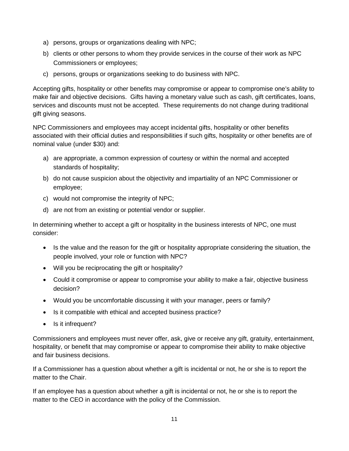- a) persons, groups or organizations dealing with NPC;
- b) clients or other persons to whom they provide services in the course of their work as NPC Commissioners or employees;
- c) persons, groups or organizations seeking to do business with NPC.

Accepting gifts, hospitality or other benefits may compromise or appear to compromise one's ability to make fair and objective decisions. Gifts having a monetary value such as cash, gift certificates, loans, services and discounts must not be accepted. These requirements do not change during traditional gift giving seasons.

NPC Commissioners and employees may accept incidental gifts, hospitality or other benefits associated with their official duties and responsibilities if such gifts, hospitality or other benefits are of nominal value (under \$30) and:

- a) are appropriate, a common expression of courtesy or within the normal and accepted standards of hospitality;
- b) do not cause suspicion about the objectivity and impartiality of an NPC Commissioner or employee;
- c) would not compromise the integrity of NPC;
- d) are not from an existing or potential vendor or supplier.

In determining whether to accept a gift or hospitality in the business interests of NPC, one must consider:

- Is the value and the reason for the gift or hospitality appropriate considering the situation, the people involved, your role or function with NPC?
- Will you be reciprocating the gift or hospitality?
- Could it compromise or appear to compromise your ability to make a fair, objective business decision?
- Would you be uncomfortable discussing it with your manager, peers or family?
- Is it compatible with ethical and accepted business practice?
- Is it infrequent?

Commissioners and employees must never offer, ask, give or receive any gift, gratuity, entertainment, hospitality, or benefit that may compromise or appear to compromise their ability to make objective and fair business decisions.

If a Commissioner has a question about whether a gift is incidental or not, he or she is to report the matter to the Chair.

If an employee has a question about whether a gift is incidental or not, he or she is to report the matter to the CEO in accordance with the policy of the Commission.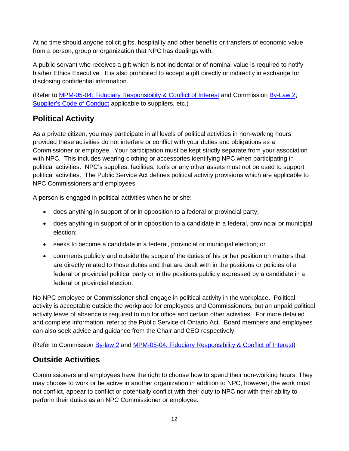At no time should anyone solicit gifts, hospitality and other benefits or transfers of economic value from a person, group or organization that NPC has dealings with.

A public servant who receives a gift which is not incidental or of nominal value is required to notify his/her Ethics Executive. It is also prohibited to accept a gift directly or indirectly in exchange for disclosing confidential information.

(Refer to [MPM-05-04: Fiduciary Responsibility & Conflict of Interest](file://niagaraparks.nf/parks/files/CORPORATE%20SERVICES/PUBLIC/NPC%20POLICIES/ON%20LINE%20POLICIES/MPM/MPM-05%20Human%20Resources/MPM-05-04%20Fiduciary%20Responsibility%20&%20Conflict%20of%20Interest.pdf) and Commission [By-Law 2;](file://niagaraparks.nf/parks/files/CORPORATE%20SERVICES/PUBLIC/NPC%20POLICIES/ON%20LINE%20POLICIES/BY-LAWS/BY-LAW%20NO.%202/BY-LAW%20NO.%202.%20FIDUCIARY%20RESPONSIBILITY%20&%20CONFLICT%20OF%20INTEREST.pdf) [Supplier's Code of Conduct](http://corporate.niagaraparks.com/wp-content/uploads/2013/12/niagara-parks-supplier-code-of-conduct.pdf) applicable to suppliers, etc.)

## <span id="page-13-0"></span>**Political Activity**

As a private citizen, you may participate in all levels of political activities in non-working hours provided these activities do not interfere or conflict with your duties and obligations as a Commissioner or employee. Your participation must be kept strictly separate from your association with NPC. This includes wearing clothing or accessories identifying NPC when participating in political activities. NPC's supplies, facilities, tools or any other assets must not be used to support political activities. The Public Service Act defines political activity provisions which are applicable to NPC Commissioners and employees.

A person is engaged in political activities when he or she:

- does anything in support of or in opposition to a federal or provincial party;
- does anything in support of or in opposition to a candidate in a federal, provincial or municipal election;
- seeks to become a candidate in a federal, provincial or municipal election; or
- comments publicly and outside the scope of the duties of his or her position on matters that are directly related to those duties and that are dealt with in the positions or policies of a federal or provincial political party or in the positions publicly expressed by a candidate in a federal or provincial election.

No NPC employee or Commissioner shall engage in political activity in the workplace. Political activity is acceptable outside the workplace for employees and Commissioners, but an unpaid political activity leave of absence is required to run for office and certain other activities. For more detailed and complete information, refer to the Public Service of Ontario Act. Board members and employees can also seek advice and guidance from the Chair and CEO respectively.

(Refer to Commission [By-law 2](file://niagaraparks.nf/parks/files/CORPORATE%20SERVICES/PUBLIC/NPC%20POLICIES/ON%20LINE%20POLICIES/BY-LAWS/BY-LAW%20NO.%202/BY-LAW%20NO.%202.%20FIDUCIARY%20RESPONSIBILITY%20&%20CONFLICT%20OF%20INTEREST.pdf) and [MPM-05-04: Fiduciary Responsibility & Conflict of Interest\)](file://niagaraparks.nf/parks/files/CORPORATE%20SERVICES/PUBLIC/NPC%20POLICIES/ON%20LINE%20POLICIES/MPM/MPM-05%20Human%20Resources/MPM-05-04%20Fiduciary%20Responsibility%20&%20Conflict%20of%20Interest.pdf)

# <span id="page-13-1"></span>**Outside Activities**

Commissioners and employees have the right to choose how to spend their non-working hours. They may choose to work or be active in another organization in addition to NPC, however, the work must not conflict, appear to conflict or potentially conflict with their duty to NPC nor with their ability to perform their duties as an NPC Commissioner or employee.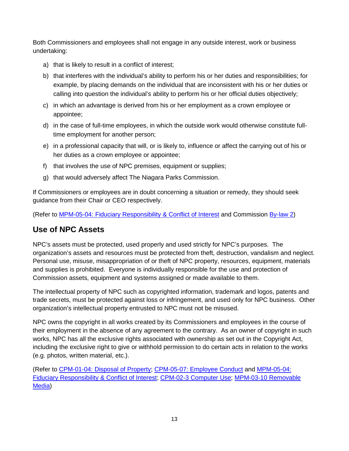Both Commissioners and employees shall not engage in any outside interest, work or business undertaking:

- a) that is likely to result in a conflict of interest;
- b) that interferes with the individual's ability to perform his or her duties and responsibilities; for example, by placing demands on the individual that are inconsistent with his or her duties or calling into question the individual's ability to perform his or her official duties objectively;
- c) in which an advantage is derived from his or her employment as a crown employee or appointee;
- d) in the case of full-time employees, in which the outside work would otherwise constitute fulltime employment for another person;
- e) in a professional capacity that will, or is likely to, influence or affect the carrying out of his or her duties as a crown employee or appointee;
- f) that involves the use of NPC premises, equipment or supplies;
- g) that would adversely affect The Niagara Parks Commission.

If Commissioners or employees are in doubt concerning a situation or remedy, they should seek guidance from their Chair or CEO respectively.

(Refer to [MPM-05-04: Fiduciary Responsibility & Conflict of Interest](file://niagaraparks.nf/parks/files/CORPORATE%20SERVICES/PUBLIC/NPC%20POLICIES/ON%20LINE%20POLICIES/MPM/MPM-05%20Human%20Resources/MPM-05-04%20Fiduciary%20Responsibility%20&%20Conflict%20of%20Interest.pdf) and Commission [By-law 2\)](file://niagaraparks.nf/parks/files/CORPORATE%20SERVICES/PUBLIC/NPC%20POLICIES/ON%20LINE%20POLICIES/BY-LAWS/BY-LAW%20NO.%202/BY-LAW%20NO.%202.%20FIDUCIARY%20RESPONSIBILITY%20&%20CONFLICT%20OF%20INTEREST.pdf)

#### <span id="page-14-0"></span>**Use of NPC Assets**

NPC's assets must be protected, used properly and used strictly for NPC's purposes. The organization's assets and resources must be protected from theft, destruction, vandalism and neglect. Personal use, misuse, misappropriation of or theft of NPC property, resources, equipment, materials and supplies is prohibited. Everyone is individually responsible for the use and protection of Commission assets, equipment and systems assigned or made available to them.

The intellectual property of NPC such as copyrighted information, trademark and logos, patents and trade secrets, must be protected against loss or infringement, and used only for NPC business. Other organization's intellectual property entrusted to NPC must not be misused.

NPC owns the copyright in all works created by its Commissioners and employees in the course of their employment in the absence of any agreement to the contrary. As an owner of copyright in such works, NPC has all the exclusive rights associated with ownership as set out in the Copyright Act, including the exclusive right to give or withhold permission to do certain acts in relation to the works (e.g. photos, written material, etc.).

(Refer to [CPM-01-04: Disposal of Property;](file://niagaraparks.nf/parks/files/CORPORATE%20SERVICES/PUBLIC/NPC%20POLICIES/ON%20LINE%20POLICIES/CPM/CPM-01%20COMMISSION/CPM-01-04%20Disposal%20of%20Property.pdf) [CPM-05-07: Employee Conduct](file://niagaraparks.nf/parks/files/CORPORATE%20SERVICES/PUBLIC/NPC%20POLICIES/ON%20LINE%20POLICIES/CPM/CPM-05%20HUMAN%20RESOURCES/CPM-05-07%20Employee%20Conduct.pdf) and [MPM-05-04:](file://niagaraparks.nf/parks/files/CORPORATE%20SERVICES/PUBLIC/NPC%20POLICIES/ON%20LINE%20POLICIES/MPM/MPM-05%20Human%20Resources/MPM-05-04%20Fiduciary%20Responsibility%20&%20Conflict%20of%20Interest.pdf)  [Fiduciary Responsibility & Conflict of Interest;](file://niagaraparks.nf/parks/files/CORPORATE%20SERVICES/PUBLIC/NPC%20POLICIES/ON%20LINE%20POLICIES/MPM/MPM-05%20Human%20Resources/MPM-05-04%20Fiduciary%20Responsibility%20&%20Conflict%20of%20Interest.pdf) [CPM-02-3 Computer Use;](file://niagaraparks.nf/parks/files/CORPORATE%20SERVICES/PUBLIC/NPC%20POLICIES/ON%20LINE%20POLICIES/CPM/CPM-02%20ADMINISTRATION/CPM-02-03%20Computer%20Use.pdf) [MPM-03-10 Removable](file://niagaraparks.nf/parks/files/CORPORATE%20SERVICES/PUBLIC/NPC%20POLICIES/ON%20LINE%20POLICIES/MPM/MPM-03%20Corporate%20Services/MPM-03-10%20Removable%20Media.pdf)  [Media\)](file://niagaraparks.nf/parks/files/CORPORATE%20SERVICES/PUBLIC/NPC%20POLICIES/ON%20LINE%20POLICIES/MPM/MPM-03%20Corporate%20Services/MPM-03-10%20Removable%20Media.pdf)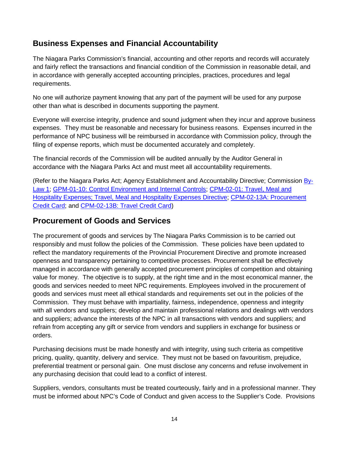#### <span id="page-15-0"></span>**Business Expenses and Financial Accountability**

The Niagara Parks Commission's financial, accounting and other reports and records will accurately and fairly reflect the transactions and financial condition of the Commission in reasonable detail, and in accordance with generally accepted accounting principles, practices, procedures and legal requirements.

No one will authorize payment knowing that any part of the payment will be used for any purpose other than what is described in documents supporting the payment.

Everyone will exercise integrity, prudence and sound judgment when they incur and approve business expenses. They must be reasonable and necessary for business reasons. Expenses incurred in the performance of NPC business will be reimbursed in accordance with Commission policy, through the filing of expense reports, which must be documented accurately and completely.

The financial records of the Commission will be audited annually by the Auditor General in accordance with the Niagara Parks Act and must meet all accountability requirements.

(Refer to the Niagara Parks Act; Agency Establishment and Accountability Directive; Commission [By-](file://niagaraparks.nf/parks/files/CORPORATE%20SERVICES/PUBLIC/NPC%20POLICIES/ON%20LINE%20POLICIES/BY-LAWS/BY-LAW%20NO.%201/BY-LAW%20NO.%201.pdf)[Law 1;](file://niagaraparks.nf/parks/files/CORPORATE%20SERVICES/PUBLIC/NPC%20POLICIES/ON%20LINE%20POLICIES/BY-LAWS/BY-LAW%20NO.%201/BY-LAW%20NO.%201.pdf) [GPM-01-10: Control Environment and Internal Controls;](file://niagaraparks.nf/parks/files/CORPORATE%20SERVICES/PUBLIC/NPC%20POLICIES/ON%20LINE%20POLICIES/GPM/GPM-01-10%20Control%20Environment%20&%20Internal%20Controls.pdf) [CPM-02-01: Travel, Meal and](file://niagaraparks.nf/parks/files/CORPORATE%20SERVICES/PUBLIC/NPC%20POLICIES/ON%20LINE%20POLICIES/CPM/CPM-02%20ADMINISTRATION/CPM-02-01%20Travel%20%20Meal%20and%20Hospitality%20Expenses.pdf)  [Hospitality Expenses; Travel, Meal and Hospitality Expenses Directive;](file://niagaraparks.nf/parks/files/CORPORATE%20SERVICES/PUBLIC/NPC%20POLICIES/ON%20LINE%20POLICIES/CPM/CPM-02%20ADMINISTRATION/CPM-02-01%20Travel%20%20Meal%20and%20Hospitality%20Expenses.pdf) [CPM-02-13A: Procurement](file://niagaraparks.nf/parks/files/CORPORATE%20SERVICES/PUBLIC/NPC%20POLICIES/ON%20LINE%20POLICIES/CPM/CPM-02%20ADMINISTRATION/CPM-02-13A%20Procurement%20Credit%20Card.pdf)  [Credit Card;](file://niagaraparks.nf/parks/files/CORPORATE%20SERVICES/PUBLIC/NPC%20POLICIES/ON%20LINE%20POLICIES/CPM/CPM-02%20ADMINISTRATION/CPM-02-13A%20Procurement%20Credit%20Card.pdf) and [CPM-02-13B: Travel Credit Card\)](file://niagaraparks.nf/parks/files/CORPORATE%20SERVICES/PUBLIC/NPC%20POLICIES/ON%20LINE%20POLICIES/CPM/CPM-02%20ADMINISTRATION/CPM-02-13B%20Travel%20Credit%20Card.pdf)

#### <span id="page-15-1"></span>**Procurement of Goods and Services**

The procurement of goods and services by The Niagara Parks Commission is to be carried out responsibly and must follow the policies of the Commission. These policies have been updated to reflect the mandatory requirements of the Provincial Procurement Directive and promote increased openness and transparency pertaining to competitive processes. Procurement shall be effectively managed in accordance with generally accepted procurement principles of competition and obtaining value for money. The objective is to supply, at the right time and in the most economical manner, the goods and services needed to meet NPC requirements. Employees involved in the procurement of goods and services must meet all ethical standards and requirements set out in the policies of the Commission. They must behave with impartiality, fairness, independence, openness and integrity with all vendors and suppliers; develop and maintain professional relations and dealings with vendors and suppliers; advance the interests of the NPC in all transactions with vendors and suppliers; and refrain from accepting any gift or service from vendors and suppliers in exchange for business or orders.

Purchasing decisions must be made honestly and with integrity, using such criteria as competitive pricing, quality, quantity, delivery and service. They must not be based on favouritism, prejudice, preferential treatment or personal gain. One must disclose any concerns and refuse involvement in any purchasing decision that could lead to a conflict of interest.

Suppliers, vendors, consultants must be treated courteously, fairly and in a professional manner. They must be informed about NPC's Code of Conduct and given access to the Supplier's Code. Provisions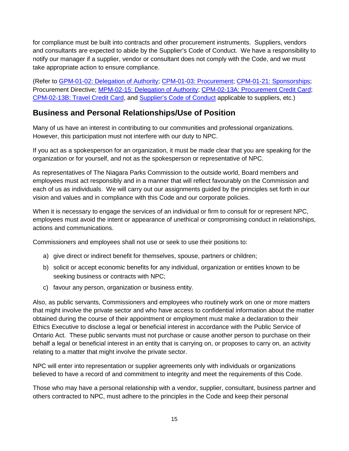for compliance must be built into contracts and other procurement instruments. Suppliers, vendors and consultants are expected to abide by the Supplier's Code of Conduct. We have a responsibility to notify our manager if a supplier, vendor or consultant does not comply with the Code, and we must take appropriate action to ensure compliance.

(Refer to [GPM-01-02: Delegation of Authority;](file://niagaraparks.nf/parks/files/CORPORATE%20SERVICES/PUBLIC/NPC%20POLICIES/ON%20LINE%20POLICIES/GPM/GPM-01-02%20Delegation%20of%20Authority%20Governance%20Policy.pdf) CPM-01-03: [Procurement;](file://niagaraparks.nf/parks/files/CORPORATE%20SERVICES/PUBLIC/NPC%20POLICIES/ON%20LINE%20POLICIES/CPM/CPM-01%20COMMISSION/CPM-01-03%20Procurement%20Policy.pdf) [CPM-01-21: Sponsorships;](file://niagaraparks.nf/parks/files/CORPORATE%20SERVICES/PUBLIC/NPC%20POLICIES/ON%20LINE%20POLICIES/CPM/CPM-01%20COMMISSION/CPM-01-21%20Sponsorships.pdf) Procurement Directive; [MPM-02-15: Delegation of Authority;](file://niagaraparks.nf/parks/files/CORPORATE%20SERVICES/PUBLIC/NPC%20POLICIES/ON%20LINE%20POLICIES/MPM/MPM-02%20Administration/MPM-02-15%20Delegation%20of%20Authority%20Policy%20and%20Procedures.pdf) [CPM-02-13A: Procurement Credit Card;](file://niagaraparks.nf/parks/files/CORPORATE%20SERVICES/PUBLIC/NPC%20POLICIES/ON%20LINE%20POLICIES/CPM/CPM-02%20ADMINISTRATION/CPM-02-13A%20Procurement%20Credit%20Card.pdf) [CPM-02-13B: Travel Credit Card,](file://niagaraparks.nf/parks/files/CORPORATE%20SERVICES/PUBLIC/NPC%20POLICIES/ON%20LINE%20POLICIES/CPM/CPM-02%20ADMINISTRATION/CPM-02-13B%20Travel%20Credit%20Card.pdf) and [Supplier's Code of Conduct](http://corporate.niagaraparks.com/wp-content/uploads/2013/12/niagara-parks-supplier-code-of-conduct.pdf) applicable to suppliers, etc.)

#### <span id="page-16-0"></span>**Business and Personal Relationships/Use of Position**

Many of us have an interest in contributing to our communities and professional organizations. However, this participation must not interfere with our duty to NPC.

If you act as a spokesperson for an organization, it must be made clear that you are speaking for the organization or for yourself, and not as the spokesperson or representative of NPC.

As representatives of The Niagara Parks Commission to the outside world, Board members and employees must act responsibly and in a manner that will reflect favourably on the Commission and each of us as individuals. We will carry out our assignments guided by the principles set forth in our vision and values and in compliance with this Code and our corporate policies.

When it is necessary to engage the services of an individual or firm to consult for or represent NPC, employees must avoid the intent or appearance of unethical or compromising conduct in relationships, actions and communications.

Commissioners and employees shall not use or seek to use their positions to:

- a) give direct or indirect benefit for themselves, spouse, partners or children;
- b) solicit or accept economic benefits for any individual, organization or entities known to be seeking business or contracts with NPC;
- c) favour any person, organization or business entity.

Also, as public servants, Commissioners and employees who routinely work on one or more matters that might involve the private sector and who have access to confidential information about the matter obtained during the course of their appointment or employment must make a declaration to their Ethics Executive to disclose a legal or beneficial interest in accordance with the Public Service of Ontario Act. These public servants must not purchase or cause another person to purchase on their behalf a legal or beneficial interest in an entity that is carrying on, or proposes to carry on, an activity relating to a matter that might involve the private sector.

NPC will enter into representation or supplier agreements only with individuals or organizations believed to have a record of and commitment to integrity and meet the requirements of this Code.

Those who may have a personal relationship with a vendor, supplier, consultant, business partner and others contracted to NPC, must adhere to the principles in the Code and keep their personal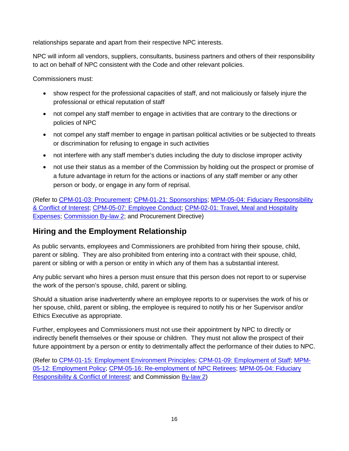relationships separate and apart from their respective NPC interests.

NPC will inform all vendors, suppliers, consultants, business partners and others of their responsibility to act on behalf of NPC consistent with the Code and other relevant policies.

Commissioners must:

- show respect for the professional capacities of staff, and not maliciously or falsely injure the professional or ethical reputation of staff
- not compel any staff member to engage in activities that are contrary to the directions or policies of NPC
- not compel any staff member to engage in partisan political activities or be subjected to threats or discrimination for refusing to engage in such activities
- not interfere with any staff member's duties including the duty to disclose improper activity
- not use their status as a member of the Commission by holding out the prospect or promise of a future advantage in return for the actions or inactions of any staff member or any other person or body, or engage in any form of reprisal.

(Refer to CPM-01-03: [Procurement;](file://niagaraparks.nf/parks/files/CORPORATE%20SERVICES/PUBLIC/NPC%20POLICIES/ON%20LINE%20POLICIES/CPM/CPM-01%20COMMISSION/CPM-01-03%20Procurement%20Policy.pdf) [CPM-01-21: Sponsorships;](file://niagaraparks.nf/parks/files/CORPORATE%20SERVICES/PUBLIC/NPC%20POLICIES/ON%20LINE%20POLICIES/CPM/CPM-01%20COMMISSION/CPM-01-21%20Sponsorships.pdf) [MPM-05-04: Fiduciary Responsibility](file://niagaraparks.nf/parks/files/CORPORATE%20SERVICES/PUBLIC/NPC%20POLICIES/ON%20LINE%20POLICIES/MPM/MPM-05%20Human%20Resources/MPM-05-04%20Fiduciary%20Responsibility%20&%20Conflict%20of%20Interest.pdf)  [& Conflict of Interest;](file://niagaraparks.nf/parks/files/CORPORATE%20SERVICES/PUBLIC/NPC%20POLICIES/ON%20LINE%20POLICIES/MPM/MPM-05%20Human%20Resources/MPM-05-04%20Fiduciary%20Responsibility%20&%20Conflict%20of%20Interest.pdf) [CPM-05-07: Employee Conduct;](file://niagaraparks.nf/parks/files/CORPORATE%20SERVICES/PUBLIC/NPC%20POLICIES/ON%20LINE%20POLICIES/CPM/CPM-05%20HUMAN%20RESOURCES/CPM-05-07%20Employee%20Conduct.pdf) [CPM-02-01: Travel, Meal and Hospitality](file://niagaraparks.nf/parks/files/CORPORATE%20SERVICES/PUBLIC/NPC%20POLICIES/ON%20LINE%20POLICIES/CPM/CPM-02%20ADMINISTRATION/CPM-02-01%20Travel%20%20Meal%20and%20Hospitality%20Expenses.pdf)  [Expenses;](file://niagaraparks.nf/parks/files/CORPORATE%20SERVICES/PUBLIC/NPC%20POLICIES/ON%20LINE%20POLICIES/CPM/CPM-02%20ADMINISTRATION/CPM-02-01%20Travel%20%20Meal%20and%20Hospitality%20Expenses.pdf) [Commission By-law 2;](file://niagaraparks.nf/parks/files/CORPORATE%20SERVICES/PUBLIC/NPC%20POLICIES/ON%20LINE%20POLICIES/BY-LAWS/BY-LAW%20NO.%202/BY-LAW%20NO.%202.%20FIDUCIARY%20RESPONSIBILITY%20&%20CONFLICT%20OF%20INTEREST.pdf) and Procurement Directive)

#### <span id="page-17-0"></span>**Hiring and the Employment Relationship**

As public servants, employees and Commissioners are prohibited from hiring their spouse, child, parent or sibling. They are also prohibited from entering into a contract with their spouse, child, parent or sibling or with a person or entity in which any of them has a substantial interest.

Any public servant who hires a person must ensure that this person does not report to or supervise the work of the person's spouse, child, parent or sibling.

Should a situation arise inadvertently where an employee reports to or supervises the work of his or her spouse, child, parent or sibling, the employee is required to notify his or her Supervisor and/or Ethics Executive as appropriate.

Further, employees and Commissioners must not use their appointment by NPC to directly or indirectly benefit themselves or their spouse or children. They must not allow the prospect of their future appointment by a person or entity to detrimentally affect the performance of their duties to NPC.

(Refer to [CPM-01-15: Employment Environment Principles;](file://niagaraparks.nf/parks/files/CORPORATE%20SERVICES/PUBLIC/NPC%20POLICIES/ON%20LINE%20POLICIES/CPM/CPM-01%20COMMISSION/CPM-01-15%20Employment%20Environment%20Principles.pdf) [CPM-01-09: Employment of Staff;](file://niagaraparks.nf/parks/files/CORPORATE%20SERVICES/PUBLIC/NPC%20POLICIES/ON%20LINE%20POLICIES/CPM/CPM-01%20COMMISSION/CPM-01-09%20Employment%20of%20Staff.pdf) [MPM-](file://niagaraparks.nf/parks/files/CORPORATE%20SERVICES/PUBLIC/NPC%20POLICIES/ON%20LINE%20POLICIES/MPM/MPM-05%20Human%20Resources/MPM-05-12%20Employment%20Policy.pdf)[05-12: Employment Policy;](file://niagaraparks.nf/parks/files/CORPORATE%20SERVICES/PUBLIC/NPC%20POLICIES/ON%20LINE%20POLICIES/MPM/MPM-05%20Human%20Resources/MPM-05-12%20Employment%20Policy.pdf) [CPM-05-16: Re-employment of NPC Retirees;](file://niagaraparks.nf/parks/files/CORPORATE%20SERVICES/PUBLIC/NPC%20POLICIES/ON%20LINE%20POLICIES/CPM/CPM-05%20HUMAN%20RESOURCES/CPM-05-16%20Re-Employment%20of%20NPC%20Retirees.pdf) [MPM-05-04: Fiduciary](file://niagaraparks.nf/parks/files/CORPORATE%20SERVICES/PUBLIC/NPC%20POLICIES/ON%20LINE%20POLICIES/MPM/MPM-05%20Human%20Resources/MPM-05-04%20Fiduciary%20Responsibility%20&%20Conflict%20of%20Interest.pdf)  [Responsibility & Conflict of Interest;](file://niagaraparks.nf/parks/files/CORPORATE%20SERVICES/PUBLIC/NPC%20POLICIES/ON%20LINE%20POLICIES/MPM/MPM-05%20Human%20Resources/MPM-05-04%20Fiduciary%20Responsibility%20&%20Conflict%20of%20Interest.pdf) and Commission [By-law 2\)](file://niagaraparks.nf/parks/files/CORPORATE%20SERVICES/PUBLIC/NPC%20POLICIES/ON%20LINE%20POLICIES/BY-LAWS/BY-LAW%20NO.%202/BY-LAW%20NO.%202.%20FIDUCIARY%20RESPONSIBILITY%20&%20CONFLICT%20OF%20INTEREST.pdf)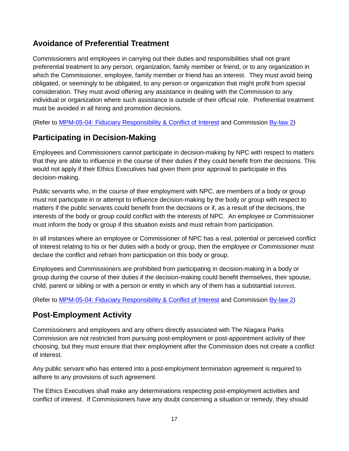#### <span id="page-18-0"></span>**Avoidance of Preferential Treatment**

Commissioners and employees in carrying out their duties and responsibilities shall not grant preferential treatment to any person, organization, family member or friend, or to any organization in which the Commissioner, employee, family member or friend has an interest. They must avoid being obligated, or seemingly to be obligated, to any person or organization that might profit from special consideration. They must avoid offering any assistance in dealing with the Commission to any individual or organization where such assistance is outside of their official role. Preferential treatment must be avoided in all hiring and promotion decisions.

(Refer to [MPM-05-04: Fiduciary Responsibility & Conflict of Interest](file://niagaraparks.nf/parks/files/CORPORATE%20SERVICES/PUBLIC/NPC%20POLICIES/ON%20LINE%20POLICIES/MPM/MPM-05%20Human%20Resources/MPM-05-04%20Fiduciary%20Responsibility%20&%20Conflict%20of%20Interest.pdf) and Commission [By-law 2\)](file://niagaraparks.nf/parks/files/CORPORATE%20SERVICES/PUBLIC/NPC%20POLICIES/ON%20LINE%20POLICIES/BY-LAWS/BY-LAW%20NO.%202/BY-LAW%20NO.%202.%20FIDUCIARY%20RESPONSIBILITY%20&%20CONFLICT%20OF%20INTEREST.pdf)

#### <span id="page-18-1"></span>**Participating in Decision-Making**

Employees and Commissioners cannot participate in decision-making by NPC with respect to matters that they are able to influence in the course of their duties if they could benefit from the decisions. This would not apply if their Ethics Executives had given them prior approval to participate in this decision-making.

Public servants who, in the course of their employment with NPC, are members of a body or group must not participate in or attempt to influence decision-making by the body or group with respect to matters if the public servants could benefit from the decisions or if, as a result of the decisions, the interests of the body or group could conflict with the interests of NPC. An employee or Commissioner must inform the body or group if this situation exists and must refrain from participation.

In all instances where an employee or Commissioner of NPC has a real, potential or perceived conflict of interest relating to his or her duties with a body or group, then the employee or Commissioner must declare the conflict and refrain from participation on this body or group.

Employees and Commissioners are prohibited from participating in decision-making in a body or group during the course of their duties if the decision-making could benefit themselves, their spouse, child, parent or sibling or with a person or entity in which any of them has a substantial interest.

(Refer to [MPM-05-04: Fiduciary Responsibility & Conflict of Interest](file://niagaraparks.nf/parks/files/CORPORATE%20SERVICES/PUBLIC/NPC%20POLICIES/ON%20LINE%20POLICIES/MPM/MPM-05%20Human%20Resources/MPM-05-04%20Fiduciary%20Responsibility%20&%20Conflict%20of%20Interest.pdf) and Commission [By-law 2\)](file://niagaraparks.nf/parks/files/CORPORATE%20SERVICES/PUBLIC/NPC%20POLICIES/ON%20LINE%20POLICIES/BY-LAWS/BY-LAW%20NO.%202/BY-LAW%20NO.%202.%20FIDUCIARY%20RESPONSIBILITY%20&%20CONFLICT%20OF%20INTEREST.pdf)

#### <span id="page-18-2"></span>**Post-Employment Activity**

Commissioners and employees and any others directly associated with The Niagara Parks Commission are not restricted from pursuing post-employment or post-appointment activity of their choosing, but they must ensure that their employment after the Commission does not create a conflict of interest.

Any public servant who has entered into a post-employment termination agreement is required to adhere to any provisions of such agreement.

The Ethics Executives shall make any determinations respecting post-employment activities and conflict of interest. If Commissioners have any doubt concerning a situation or remedy, they should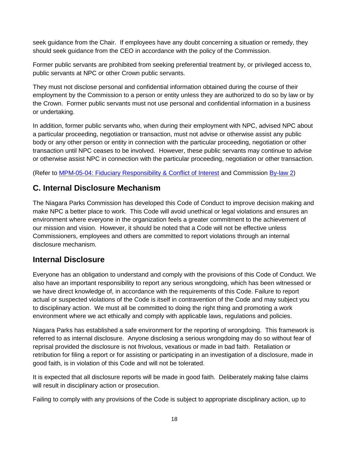seek guidance from the Chair. If employees have any doubt concerning a situation or remedy, they should seek guidance from the CEO in accordance with the policy of the Commission.

Former public servants are prohibited from seeking preferential treatment by, or privileged access to, public servants at NPC or other Crown public servants.

They must not disclose personal and confidential information obtained during the course of their employment by the Commission to a person or entity unless they are authorized to do so by law or by the Crown. Former public servants must not use personal and confidential information in a business or undertaking.

In addition, former public servants who, when during their employment with NPC, advised NPC about a particular proceeding, negotiation or transaction, must not advise or otherwise assist any public body or any other person or entity in connection with the particular proceeding, negotiation or other transaction until NPC ceases to be involved. However, these public servants may continue to advise or otherwise assist NPC in connection with the particular proceeding, negotiation or other transaction.

(Refer to [MPM-05-04: Fiduciary Responsibility & Conflict of Interest](file://niagaraparks.nf/parks/files/CORPORATE%20SERVICES/PUBLIC/NPC%20POLICIES/ON%20LINE%20POLICIES/MPM/MPM-05%20Human%20Resources/MPM-05-04%20Fiduciary%20Responsibility%20&%20Conflict%20of%20Interest.pdf) and Commission [By-law 2\)](file://niagaraparks.nf/parks/files/CORPORATE%20SERVICES/PUBLIC/NPC%20POLICIES/ON%20LINE%20POLICIES/MPM/MPM-05%20Human%20Resources/MPM-05-04%20Fiduciary%20Responsibility%20&%20Conflict%20of%20Interest.pdf)

#### <span id="page-19-0"></span>**C. Internal Disclosure Mechanism**

The Niagara Parks Commission has developed this Code of Conduct to improve decision making and make NPC a better place to work. This Code will avoid unethical or legal violations and ensures an environment where everyone in the organization feels a greater commitment to the achievement of our mission and vision. However, it should be noted that a Code will not be effective unless Commissioners, employees and others are committed to report violations through an internal disclosure mechanism.

#### <span id="page-19-1"></span>**Internal Disclosure**

Everyone has an obligation to understand and comply with the provisions of this Code of Conduct. We also have an important responsibility to report any serious wrongdoing, which has been witnessed or we have direct knowledge of, in accordance with the requirements of this Code. Failure to report actual or suspected violations of the Code is itself in contravention of the Code and may subject you to disciplinary action. We must all be committed to doing the right thing and promoting a work environment where we act ethically and comply with applicable laws, regulations and policies.

Niagara Parks has established a safe environment for the reporting of wrongdoing. This framework is referred to as internal disclosure. Anyone disclosing a serious wrongdoing may do so without fear of reprisal provided the disclosure is not frivolous, vexatious or made in bad faith. Retaliation or retribution for filing a report or for assisting or participating in an investigation of a disclosure, made in good faith, is in violation of this Code and will not be tolerated.

It is expected that all disclosure reports will be made in good faith. Deliberately making false claims will result in disciplinary action or prosecution.

Failing to comply with any provisions of the Code is subject to appropriate disciplinary action, up to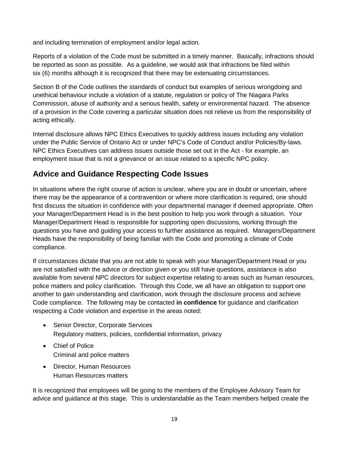and including termination of employment and/or legal action.

Reports of a violation of the Code must be submitted in a timely manner. Basically, infractions should be reported as soon as possible. As a guideline, we would ask that infractions be filed within six (6) months although it is recognized that there may be extenuating circumstances.

Section B of the Code outlines the standards of conduct but examples of serious wrongdoing and unethical behaviour include a violation of a statute, regulation or policy of The Niagara Parks Commission, abuse of authority and a serious health, safety or environmental hazard. The absence of a provision in the Code covering a particular situation does not relieve us from the responsibility of acting ethically.

Internal disclosure allows NPC Ethics Executives to quickly address issues including any violation under the Public Service of Ontario Act or under NPC's Code of Conduct and/or Policies/By-laws. NPC Ethics Executives can address issues outside those set out in the Act - for example, an employment issue that is not a grievance or an issue related to a specific NPC policy.

#### <span id="page-20-0"></span>**Advice and Guidance Respecting Code Issues**

In situations where the right course of action is unclear, where you are in doubt or uncertain, where there may be the appearance of a contravention or where more clarification is required, one should first discuss the situation in confidence with your departmental manager if deemed appropriate. Often your Manager/Department Head is in the best position to help you work through a situation. Your Manager/Department Head is responsible for supporting open discussions, working through the questions you have and guiding your access to further assistance as required. Managers/Department Heads have the responsibility of being familiar with the Code and promoting a climate of Code compliance.

If circumstances dictate that you are not able to speak with your Manager/Department Head or you are not satisfied with the advice or direction given or you still have questions, assistance is also available from several NPC directors for subject expertise relating to areas such as human resources, police matters and policy clarification. Through this Code, we all have an obligation to support one another to gain understanding and clarification, work through the disclosure process and achieve Code compliance. The following may be contacted **in confidence** for guidance and clarification respecting a Code violation and expertise in the areas noted:

- Senior Director, Corporate Services Regulatory matters, policies, confidential information, privacy
- Chief of Police Criminal and police matters
- Director, Human Resources Human Resources matters

It is recognized that employees will be going to the members of the Employee Advisory Team for advice and guidance at this stage. This is understandable as the Team members helped create the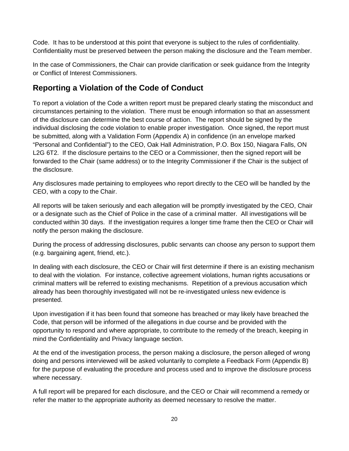Code. It has to be understood at this point that everyone is subject to the rules of confidentiality. Confidentiality must be preserved between the person making the disclosure and the Team member.

In the case of Commissioners, the Chair can provide clarification or seek guidance from the Integrity or Conflict of Interest Commissioners.

#### <span id="page-21-0"></span>**Reporting a Violation of the Code of Conduct**

To report a violation of the Code a written report must be prepared clearly stating the misconduct and circumstances pertaining to the violation. There must be enough information so that an assessment of the disclosure can determine the best course of action. The report should be signed by the individual disclosing the code violation to enable proper investigation. Once signed, the report must be submitted, along with a Validation Form (Appendix A) in confidence (in an envelope marked "Personal and Confidential") to the CEO, Oak Hall Administration, P.O. Box 150, Niagara Falls, ON L2G 6T2. If the disclosure pertains to the CEO or a Commissioner, then the signed report will be forwarded to the Chair (same address) or to the Integrity Commissioner if the Chair is the subject of the disclosure.

Any disclosures made pertaining to employees who report directly to the CEO will be handled by the CEO, with a copy to the Chair.

All reports will be taken seriously and each allegation will be promptly investigated by the CEO, Chair or a designate such as the Chief of Police in the case of a criminal matter. All investigations will be conducted within 30 days. If the investigation requires a longer time frame then the CEO or Chair will notify the person making the disclosure.

During the process of addressing disclosures, public servants can choose any person to support them (e.g. bargaining agent, friend, etc.).

In dealing with each disclosure, the CEO or Chair will first determine if there is an existing mechanism to deal with the violation. For instance, collective agreement violations, human rights accusations or criminal matters will be referred to existing mechanisms. Repetition of a previous accusation which already has been thoroughly investigated will not be re-investigated unless new evidence is presented.

Upon investigation if it has been found that someone has breached or may likely have breached the Code, that person will be informed of the allegations in due course and be provided with the opportunity to respond and where appropriate, to contribute to the remedy of the breach, keeping in mind the Confidentiality and Privacy language section.

At the end of the investigation process, the person making a disclosure, the person alleged of wrong doing and persons interviewed will be asked voluntarily to complete a Feedback Form (Appendix B) for the purpose of evaluating the procedure and process used and to improve the disclosure process where necessary.

A full report will be prepared for each disclosure, and the CEO or Chair will recommend a remedy or refer the matter to the appropriate authority as deemed necessary to resolve the matter.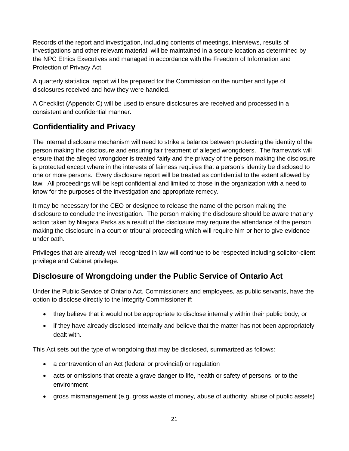Records of the report and investigation, including contents of meetings, interviews, results of investigations and other relevant material, will be maintained in a secure location as determined by the NPC Ethics Executives and managed in accordance with the Freedom of Information and Protection of Privacy Act.

A quarterly statistical report will be prepared for the Commission on the number and type of disclosures received and how they were handled.

A Checklist (Appendix C) will be used to ensure disclosures are received and processed in a consistent and confidential manner.

#### <span id="page-22-0"></span>**Confidentiality and Privacy**

The internal disclosure mechanism will need to strike a balance between protecting the identity of the person making the disclosure and ensuring fair treatment of alleged wrongdoers. The framework will ensure that the alleged wrongdoer is treated fairly and the privacy of the person making the disclosure is protected except where in the interests of fairness requires that a person's identity be disclosed to one or more persons. Every disclosure report will be treated as confidential to the extent allowed by law. All proceedings will be kept confidential and limited to those in the organization with a need to know for the purposes of the investigation and appropriate remedy.

It may be necessary for the CEO or designee to release the name of the person making the disclosure to conclude the investigation. The person making the disclosure should be aware that any action taken by Niagara Parks as a result of the disclosure may require the attendance of the person making the disclosure in a court or tribunal proceeding which will require him or her to give evidence under oath.

Privileges that are already well recognized in law will continue to be respected including solicitor-client privilege and Cabinet privilege.

#### <span id="page-22-1"></span>**Disclosure of Wrongdoing under the Public Service of Ontario Act**

Under the Public Service of Ontario Act, Commissioners and employees, as public servants, have the option to disclose directly to the Integrity Commissioner if:

- they believe that it would not be appropriate to disclose internally within their public body, or
- if they have already disclosed internally and believe that the matter has not been appropriately dealt with.

This Act sets out the type of wrongdoing that may be disclosed, summarized as follows:

- a contravention of an Act (federal or provincial) or regulation
- acts or omissions that create a grave danger to life, health or safety of persons, or to the environment
- gross mismanagement (e.g. gross waste of money, abuse of authority, abuse of public assets)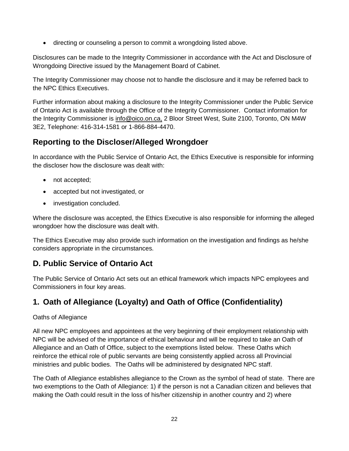• directing or counseling a person to commit a wrongdoing listed above.

Disclosures can be made to the Integrity Commissioner in accordance with the Act and Disclosure of Wrongdoing Directive issued by the Management Board of Cabinet.

The Integrity Commissioner may choose not to handle the disclosure and it may be referred back to the NPC Ethics Executives.

Further information about making a disclosure to the Integrity Commissioner under the Public Service of Ontario Act is available through the Office of the Integrity Commissioner. Contact information for the Integrity Commissioner is info@oico.on.ca, 2 Bloor Street West, Suite 2100, Toronto, ON M4W 3E2, Telephone: 416-314-1581 or 1-866-884-4470.

#### <span id="page-23-0"></span>**Reporting to the Discloser/Alleged Wrongdoer**

In accordance with the Public Service of Ontario Act, the Ethics Executive is responsible for informing the discloser how the disclosure was dealt with:

- not accepted;
- accepted but not investigated, or
- investigation concluded.

Where the disclosure was accepted, the Ethics Executive is also responsible for informing the alleged wrongdoer how the disclosure was dealt with.

The Ethics Executive may also provide such information on the investigation and findings as he/she considers appropriate in the circumstances.

#### <span id="page-23-1"></span>**D. Public Service of Ontario Act**

The Public Service of Ontario Act sets out an ethical framework which impacts NPC employees and Commissioners in four key areas.

#### <span id="page-23-2"></span>**1. Oath of Allegiance (Loyalty) and Oath of Office (Confidentiality)**

#### Oaths of Allegiance

All new NPC employees and appointees at the very beginning of their employment relationship with NPC will be advised of the importance of ethical behaviour and will be required to take an Oath of Allegiance and an Oath of Office, subject to the exemptions listed below. These Oaths which reinforce the ethical role of public servants are being consistently applied across all Provincial ministries and public bodies. The Oaths will be administered by designated NPC staff.

The Oath of Allegiance establishes allegiance to the Crown as the symbol of head of state. There are two exemptions to the Oath of Allegiance: 1) if the person is not a Canadian citizen and believes that making the Oath could result in the loss of his/her citizenship in another country and 2) where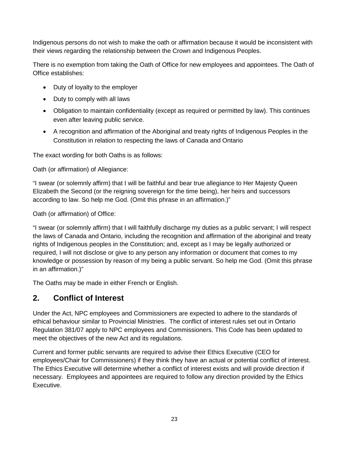Indigenous persons do not wish to make the oath or affirmation because it would be inconsistent with their views regarding the relationship between the Crown and Indigenous Peoples.

There is no exemption from taking the Oath of Office for new employees and appointees. The Oath of Office establishes:

- Duty of loyalty to the employer
- Duty to comply with all laws
- Obligation to maintain confidentiality (except as required or permitted by law). This continues even after leaving public service.
- A recognition and affirmation of the Aboriginal and treaty rights of Indigenous Peoples in the Constitution in relation to respecting the laws of Canada and Ontario

The exact wording for both Oaths is as follows:

Oath (or affirmation) of Allegiance:

"I swear (or solemnly affirm) that I will be faithful and bear true allegiance to Her Majesty Queen Elizabeth the Second (or the reigning sovereign for the time being), her heirs and successors according to law. So help me God. (Omit this phrase in an affirmation.)"

Oath (or affirmation) of Office:

"I swear (or solemnly affirm) that I will faithfully discharge my duties as a public servant; I will respect the laws of Canada and Ontario, including the recognition and affirmation of the aboriginal and treaty rights of Indigenous peoples in the Constitution; and, except as I may be legally authorized or required, I will not disclose or give to any person any information or document that comes to my knowledge or possession by reason of my being a public servant. So help me God. (Omit this phrase in an affirmation.)"

The Oaths may be made in either French or English.

#### <span id="page-24-0"></span>**2. Conflict of Interest**

Under the Act, NPC employees and Commissioners are expected to adhere to the standards of ethical behaviour similar to Provincial Ministries. The conflict of interest rules set out in Ontario Regulation 381/07 apply to NPC employees and Commissioners. This Code has been updated to meet the objectives of the new Act and its regulations.

Current and former public servants are required to advise their Ethics Executive (CEO for employees/Chair for Commissioners) if they think they have an actual or potential conflict of interest. The Ethics Executive will determine whether a conflict of interest exists and will provide direction if necessary. Employees and appointees are required to follow any direction provided by the Ethics Executive.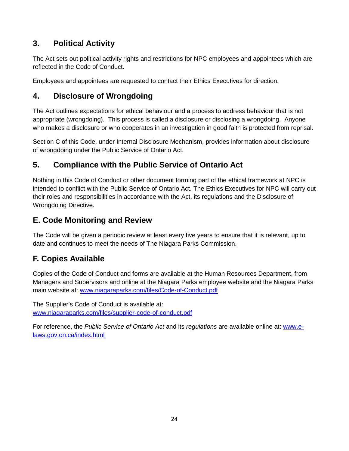#### <span id="page-25-0"></span>**3. Political Activity**

The Act sets out political activity rights and restrictions for NPC employees and appointees which are reflected in the Code of Conduct.

Employees and appointees are requested to contact their Ethics Executives for direction.

#### <span id="page-25-1"></span>**4. Disclosure of Wrongdoing**

The Act outlines expectations for ethical behaviour and a process to address behaviour that is not appropriate (wrongdoing). This process is called a disclosure or disclosing a wrongdoing. Anyone who makes a disclosure or who cooperates in an investigation in good faith is protected from reprisal.

Section C of this Code, under Internal Disclosure Mechanism, provides information about disclosure of wrongdoing under the Public Service of Ontario Act.

#### <span id="page-25-2"></span>**5. Compliance with the Public Service of Ontario Act**

Nothing in this Code of Conduct or other document forming part of the ethical framework at NPC is intended to conflict with the Public Service of Ontario Act. The Ethics Executives for NPC will carry out their roles and responsibilities in accordance with the Act, its regulations and the Disclosure of Wrongdoing Directive.

#### <span id="page-25-3"></span>**E. Code Monitoring and Review**

The Code will be given a periodic review at least every five years to ensure that it is relevant, up to date and continues to meet the needs of The Niagara Parks Commission.

#### <span id="page-25-4"></span>**F. Copies Available**

Copies of the Code of Conduct and forms are available at the Human Resources Department, from Managers and Supervisors and online at the Niagara Parks employee website and the Niagara Parks main website at: [www.niagaraparks.com/files/Code-of-Conduct.pdf](http://www.niagaraparks.com/files/Code-of-Conduct.pdf)

The Supplier's Code of Conduct is available at: [www.niagaraparks.com/files/supplier-code-of-conduct.pdf](http://www.niagaraparks.com/files/supplier%20code%20of%20conduct.pdf)

For reference, the *Public Service of Ontario Act* and its *regulations* are available online at: [www.e](http://www.e-laws.gov.on.ca/index.html)[laws.gov.on.ca/index.html](http://www.e-laws.gov.on.ca/index.html)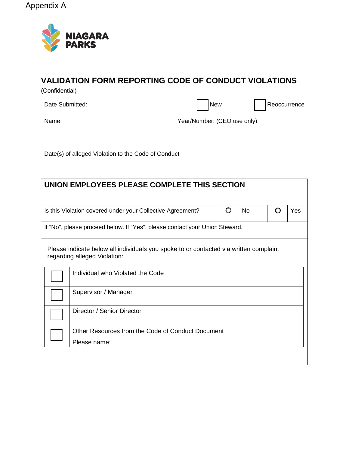Appendix A



## **VALIDATION FORM REPORTING CODE OF CONDUCT VIOLATIONS**

(Confidential)

Date Submitted: New Reoccurrence

Name: Name: Name: Name: Name: Vear/Number: (CEO use only)

Date(s) of alleged Violation to the Code of Conduct

| UNION EMPLOYEES PLEASE COMPLETE THIS SECTION                                             |                                                                                                                       |  |  |  |  |
|------------------------------------------------------------------------------------------|-----------------------------------------------------------------------------------------------------------------------|--|--|--|--|
| O<br>O<br>Is this Violation covered under your Collective Agreement?<br><b>No</b><br>Yes |                                                                                                                       |  |  |  |  |
|                                                                                          | If "No", please proceed below. If "Yes", please contact your Union Steward.                                           |  |  |  |  |
|                                                                                          | Please indicate below all individuals you spoke to or contacted via written complaint<br>regarding alleged Violation: |  |  |  |  |
|                                                                                          | Individual who Violated the Code                                                                                      |  |  |  |  |
|                                                                                          | Supervisor / Manager                                                                                                  |  |  |  |  |
|                                                                                          | Director / Senior Director                                                                                            |  |  |  |  |
|                                                                                          | Other Resources from the Code of Conduct Document                                                                     |  |  |  |  |
|                                                                                          | Please name:                                                                                                          |  |  |  |  |
|                                                                                          |                                                                                                                       |  |  |  |  |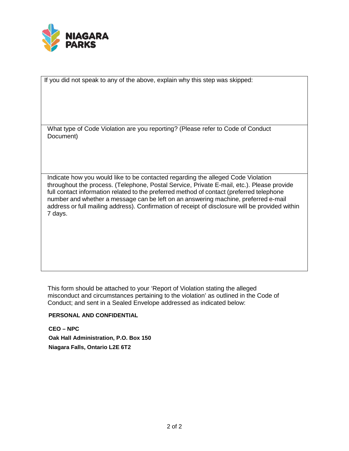

If you did not speak to any of the above, explain why this step was skipped:

What type of Code Violation are you reporting? (Please refer to Code of Conduct Document)

Indicate how you would like to be contacted regarding the alleged Code Violation throughout the process. (Telephone, Postal Service, Private E-mail, etc.). Please provide full contact information related to the preferred method of contact (preferred telephone number and whether a message can be left on an answering machine, preferred e-mail address or full mailing address). Confirmation of receipt of disclosure will be provided within 7 days.

This form should be attached to your 'Report of Violation stating the alleged misconduct and circumstances pertaining to the violation' as outlined in the Code of Conduct; and sent in a Sealed Envelope addressed as indicated below:

#### **PERSONAL AND CONFIDENTIAL**

**CEO – NPC Oak Hall Administration, P.O. Box 150 Niagara Falls, Ontario L2E 6T2**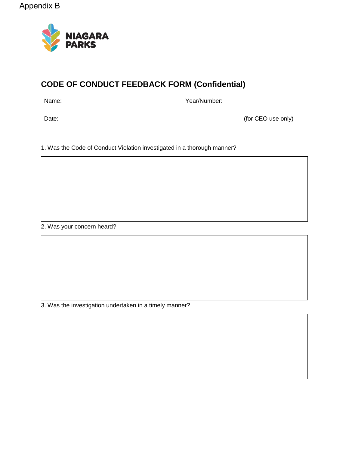

## **CODE OF CONDUCT FEEDBACK FORM (Confidential)**

Name: Year/Number:

Date: (for CEO use only)

1. Was the Code of Conduct Violation investigated in a thorough manner?

2. Was your concern heard?

3. Was the investigation undertaken in a timely manner?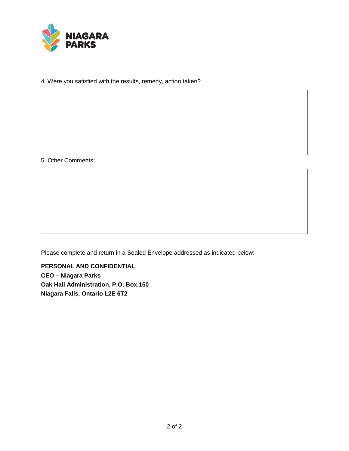

4. Were you satisfied with the results, remedy, action taken?

5. Other Comments:

Please complete and return in a Sealed Envelope addressed as indicated below:

**PERSONAL AND CONFIDENTIAL CEO – Niagara Parks Oak Hall Administration, P.O. Box 150 Niagara Falls, Ontario L2E 6T2**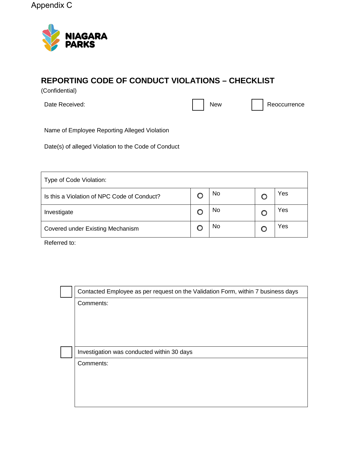Appendix C



#### **REPORTING CODE OF CONDUCT VIOLATIONS – CHECKLIST**

(Confidential)

Date Received: New Reoccurrence **New Access Point Access** 2014 New Reoccurrence

Name of Employee Reporting Alleged Violation

Date(s) of alleged Violation to the Code of Conduct

| Type of Code Violation:                     |  |           |  |     |
|---------------------------------------------|--|-----------|--|-----|
| Is this a Violation of NPC Code of Conduct? |  | No        |  | Yes |
| Investigate                                 |  | No        |  | Yes |
| Covered under Existing Mechanism            |  | <b>No</b> |  | Yes |

Referred to: